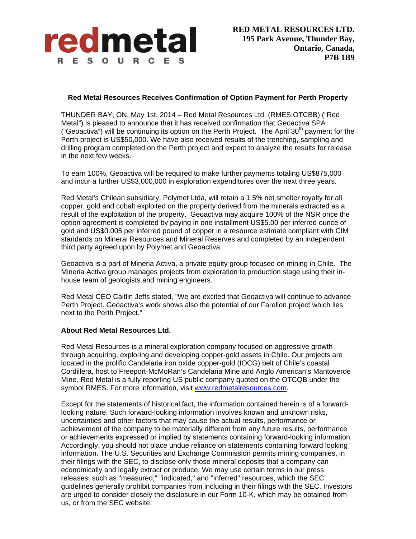

## **Red Metal Resources Receives Confirmation of Option Payment for Perth Property**

THUNDER BAY, ON, May 1st, 2014 – Red Metal Resources Ltd. (RMES:OTCBB) ("Red Metal") is pleased to announce that it has received confirmation that Geoactiva SPA ("Geoactiva") will be continuing its option on the Perth Project. The April  $30<sup>th</sup>$  payment for the Perth project is US\$50,000. We have also received results of the trenching, sampling and drilling program completed on the Perth project and expect to analyze the results for release in the next few weeks.

To earn 100%, Geoactiva will be required to make further payments totaling US\$875,000 and incur a further US\$3,000,000 in exploration expenditures over the next three years.

Red Metal's Chilean subsidiary, Polymet Ltda, will retain a 1.5% net smelter royalty for all copper, gold and cobalt exploited on the property derived from the minerals extracted as a result of the exploitation of the property. Geoactiva may acquire 100% of the NSR once the option agreement is completed by paying in one installment US\$5.00 per inferred ounce of gold and US\$0.005 per inferred pound of copper in a resource estimate compliant with CIM standards on Mineral Resources and Mineral Reserves and completed by an independent third party agreed upon by Polymet and Geoactiva.

Geoactiva is a part of Mineria Activa, a private equity group focused on mining in Chile. The Mineria Activa group manages projects from exploration to production stage using their inhouse team of geologists and mining engineers.

Red Metal CEO Caitlin Jeffs stated, "We are excited that Geoactiva will continue to advance Perth Project. Geoactiva's work shows also the potential of our Farellon project which lies next to the Perth Project."

## **About Red Metal Resources Ltd.**

Red Metal Resources is a mineral exploration company focused on aggressive growth through acquiring, exploring and developing copper-gold assets in Chile. Our projects are located in the prolific Candelaria iron oxide copper-gold (IOCG) belt of Chile's coastal Cordillera, host to Freeport-McMoRan's Candelaria Mine and Anglo American's Mantoverde Mine. Red Metal is a fully reporting US public company quoted on the OTCQB under the symbol RMES. For more information, visit www.redmetalresources.com.

Except for the statements of historical fact, the information contained herein is of a forwardlooking nature. Such forward-looking information involves known and unknown risks, uncertainties and other factors that may cause the actual results, performance or achievement of the company to be materially different from any future results, performance or achievements expressed or implied by statements containing forward-looking information. Accordingly, you should not place undue reliance on statements containing forward looking information. The U.S. Securities and Exchange Commission permits mining companies, in their filings with the SEC, to disclose only those mineral deposits that a company can economically and legally extract or produce. We may use certain terms in our press releases, such as "measured," "indicated," and "inferred" resources, which the SEC guidelines generally prohibit companies from including in their filings with the SEC. Investors are urged to consider closely the disclosure in our Form 10-K, which may be obtained from us, or from the SEC website.